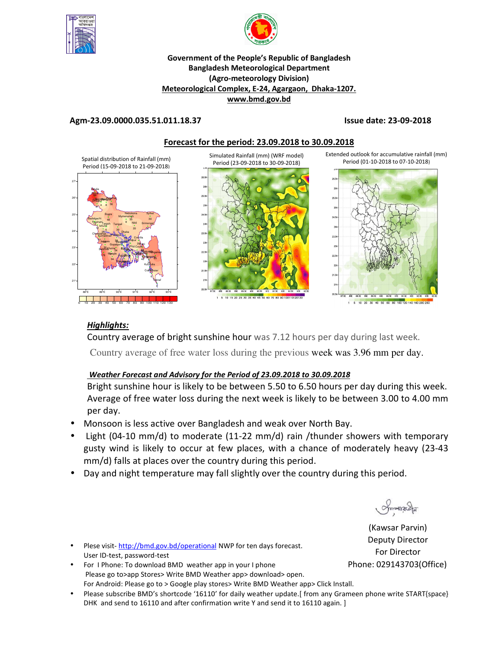



#### **Government of the People's Republic of Bangladesh Bangladesh Meteorological Department (Agro-meteorology Division) Meteorological Complex, E-24, Agargaon, Dhaka-1207. www.bmd.gov.bd**

### **Agm-23.09.0000.035.51.011.18.37 Issue date: 23-09-2018**



## *Highlights:*

Country average of bright sunshine hour was 7.12 hours per day during last week.

Country average of free water loss during the previous week was 3.96 mm per day.

### *Weather Forecast and Advisory for the Period of 23.09.2018 to 30.09.2018*

Bright sunshine hour is likely to be between 5.50 to 6.50 hours per day during this week. Average of free water loss during the next week is likely to be between 3.00 to 4.00 mm per day.

- Monsoon is less active over Bangladesh and weak over North Bay.
- Light (04-10 mm/d) to moderate (11-22 mm/d) rain /thunder showers with temporary gusty wind is likely to occur at few places, with a chance of moderately heavy (23-43 mm/d) falls at places over the country during this period.
- Day and night temperature may fall slightly over the country during this period.

Smanach

(Kawsar Parvin) Deputy Director For Director Phone: 029143703(Office)

- Plese visit-http://bmd.gov.bd/operational NWP for ten days forecast. User ID-test, password-test
- For I Phone: To download BMD weather app in your I phone Please go to>app Stores> Write BMD Weather app> download> open. For Android: Please go to > Google play stores> Write BMD Weather app> Click Install.
- Please subscribe BMD's shortcode '16110' for daily weather update.[ from any Grameen phone write START{space} DHK and send to 16110 and after confirmation write Y and send it to 16110 again. ]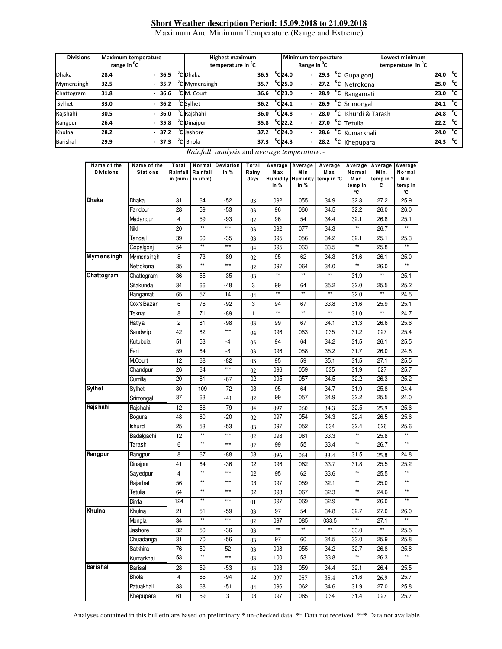### **Short Weather description Period: 15.09.2018 to 21.09.2018** Maximum And Minimum Temperature (Range and Extreme)

| <b>Divisions</b><br><b>Maximum temperature</b><br>range in <sup>o</sup> C |      |  | <b>Highest maximum</b><br>temperature in <sup>o</sup> C |  |                           |      | Minimum temperature<br>Range in <sup>o</sup> C |                              | Lowest minimum<br>temperature in <sup>o</sup> C |         |                                       |      |              |
|---------------------------------------------------------------------------|------|--|---------------------------------------------------------|--|---------------------------|------|------------------------------------------------|------------------------------|-------------------------------------------------|---------|---------------------------------------|------|--------------|
| <b>Dhaka</b>                                                              | 28.4 |  | $-36.5$                                                 |  | <sup>o</sup> C Dhaka      | 36.5 |                                                | $^{\circ}$ C24.0             | $\overline{\phantom{0}}$                        | 29.3    | <sup>o</sup> C Gupalgonj              | 24.0 | °c           |
| Mymensingh                                                                | 32.5 |  | $-35.7$                                                 |  | <sup>"</sup> C Mymensingh | 35.7 |                                                | $^{\circ}$ C25.0             |                                                 |         | $-27.2$ <sup>o</sup> C Netrokona      | 25.0 | °c           |
| Chattogram                                                                | 31.8 |  | $-36.6$                                                 |  | <sup>o</sup> C M. Court   | 36.6 |                                                | $^{\circ}$ C23.0             |                                                 | $-28.9$ | <sup>o</sup> C Rangamati              | 23.0 | °c           |
| Sylhet                                                                    | 33.0 |  | $-36.2$                                                 |  | <sup>o</sup> C Svlhet     | 36.2 |                                                | $^{\circ}$ C24.1             |                                                 |         | $-26.9$ $\degree$ C Srimongal         | 24.1 | °c           |
| Rajshahi                                                                  | 30.5 |  | $-36.0$                                                 |  | <sup>o</sup> C Rajshahi   | 36.0 |                                                | $^{\circ}$ C24.8             |                                                 |         | $-$ 28.0 $^{\circ}$ C shurdi & Tarash | 24.8 | $^{\circ}$ C |
| Rangpur                                                                   | 26.4 |  | $-35.8$                                                 |  | <sup>o</sup> C Dinajpur   | 35.8 |                                                | $^{\circ}$ C22.2             |                                                 |         | $-27.0$ <sup>o</sup> C Tetulia        | 22.2 | $^{\circ}$ c |
| Khulna                                                                    | 28.2 |  | $-37.2$                                                 |  | <sup>o</sup> C Jashore    | 37.2 |                                                | $^{\circ}$ C24.0             | $\sim$                                          |         | 28.6 °C Kumarkhali                    | 24.0 | °c           |
| <b>Barishal</b>                                                           | 29.9 |  | $-37.3$                                                 |  | <sup>o</sup> C Bhola      | 37.3 |                                                | $^{\circ}$ C <sub>24.3</sub> |                                                 | 28.2    | <sup>o</sup> C Khepupara              | 24.3 | °c           |

| Name of the<br><b>Divisions</b> | Name of the<br><b>Stations</b> | Total<br>Rainfall<br>in (mm) | Normal<br>Rainfall<br>in $(mm)$ | Deviation<br>in % | Total<br>Rainy<br>days | Average<br>M ax<br>Humidity | Average<br>M in | Average<br>M ax.<br>Humidity temp in °C | Average<br>Normal<br>M ax. | Average<br>Min.<br>temp in ° | Average<br>Normal<br>M in. |
|---------------------------------|--------------------------------|------------------------------|---------------------------------|-------------------|------------------------|-----------------------------|-----------------|-----------------------------------------|----------------------------|------------------------------|----------------------------|
|                                 |                                |                              |                                 |                   |                        | in %                        | in %            |                                         | temp in<br>°C              | С                            | temp in<br>°C              |
| Dhaka                           | Dhaka                          | 31                           | 64                              | $-52$             | 03                     | 092                         | 055             | 34.9                                    | 32.3                       | 27.2                         | 25.9                       |
|                                 | Faridpur                       | 28                           | 59                              | $-53$             | 03                     | 96                          | 060             | 34.5                                    | 32.2                       | 26.0                         | 26.0                       |
|                                 | Madaripur                      | 4                            | 59                              | -93               | 02                     | 96                          | 54              | 34.4                                    | 32.1                       | 26.8                         | 25.1                       |
|                                 | Nikli                          | 20                           | $^{\star\star}$                 | $***$             | 03                     | 092                         | 077             | 34.3                                    | **                         | 26.7                         | $\star\star$               |
|                                 | Tangail                        | 39                           | 60                              | -35               | 03                     | 095                         | 056             | 34.2                                    | 32.1                       | 25.1                         | 25.3                       |
|                                 | Gopalgonj                      | 54                           | $\star\star$                    | ***               | 04                     | 095                         | 063             | 33.5                                    | **                         | 25.8                         |                            |
| Mymensingh                      | Mymensingh                     | 8                            | 73                              | -89               | 02                     | 95                          | 62              | 34.3                                    | 31.6                       | 26.1                         | 25.0                       |
|                                 | Netrokona                      | 35                           | $^{\star\star}$                 | $***$             | 02                     | 097                         | 064             | 34.0                                    | **                         | 26.0                         | $\star\star$               |
| Chattogram                      | Chattogram                     | 36                           | 55                              | -35               | 03                     | $\star\star$                | $\star\star$    | **                                      | 31.9                       | $\star\star$                 | 25.1                       |
|                                 | Sitakunda                      | 34                           | 66                              | -48               | 3                      | 99                          | 64              | 35.2                                    | 32.0                       | 25.5                         | 25.2                       |
|                                 | Rangamati                      | 65                           | 57                              | 14                | 04                     | $\star\star$                | $\star\star$    | **                                      | 32.0                       | $\star\star$                 | 24.5                       |
|                                 | Cox'sBazar                     | 6                            | 76                              | -92               | 3                      | 94                          | 67              | 33.8                                    | 31.6                       | 25.9                         | 25.1                       |
|                                 | Teknaf                         | 8                            | 71                              | -89               | $\mathbf{1}$           | $\star\star$                | $^{\star\star}$ | $\star\star$                            | 31.0                       | $\star\star$                 | 24.7                       |
|                                 | Hatiya                         | $\overline{c}$               | 81                              | -98               | 03                     | 99                          | 67              | 34.1                                    | 31.3                       | 26.6                         | 25.6                       |
|                                 | Sandw ip                       | 42                           | 82                              | $***$             | 04                     | 096                         | 063             | 035                                     | 31.2                       | 027                          | 25.4                       |
|                                 | Kutubdia                       | 51                           | 53                              | $-4$              | 05                     | 94                          | 64              | 34.2                                    | 31.5                       | 26.1                         | 25.5                       |
|                                 | Feni                           | 59                           | 64                              | -8                | 03                     | 096                         | 058             | 35.2                                    | 31.7                       | 26.0                         | 24.8                       |
|                                 | M.Court                        | 12                           | 68                              | -82               | 03                     | 95                          | 59              | 35.1                                    | 31.5                       | 27.1                         | 25.5                       |
|                                 | Chandpur                       | 26                           | 64                              | $***$             | 02                     | 096                         | 059             | 035                                     | 31.9                       | 027                          | 25.7                       |
|                                 | Cumilla                        | 20                           | 61                              | -67               | 02                     | 095                         | 057             | 34.5                                    | 32.2                       | 26.3                         | 25.2                       |
| <b>Sylhet</b>                   | Sylhet                         | 30                           | 109                             | -72               | 03                     | 95                          | 64              | 34.7                                    | 31.9                       | 25.8                         | 24.4                       |
|                                 | Srimongal                      | 37                           | 63                              | -41               | 02                     | 99                          | 057             | 34.9                                    | 32.2                       | 25.5                         | 24.0                       |
| Rajshahi                        | Rajshahi                       | 12                           | 56                              | -79               | 04                     | 097                         | 060             | 34.3                                    | 32.5                       | 25.9                         | 25.6                       |
|                                 | Bogura                         | 48                           | 60                              | -20               | 02                     | 097                         | 054             | 34.3                                    | 32.4                       | 26.5                         | 25.6                       |
|                                 | Ishurdi                        | 25                           | 53                              | -53               | 03                     | 097                         | 052             | 034                                     | 32.4                       | 026                          | 25.6                       |
|                                 | Badalgachi                     | 12                           | $\star\star$                    | $***$             | 02                     | 098                         | 061             | 33.3                                    | **                         | 25.8                         | $\star\star$               |
|                                 | Tarash                         | 6                            | $\star\star$                    | ***               | 02                     | 99                          | 55              | 33.4                                    | **                         | 26.7                         | $\star\star$               |
| Rangpur                         | Rangpur                        | 8                            | 67                              | -88               | 03                     | 096                         | 064             | 33.4                                    | 31.5                       | 25.8                         | 24.8                       |
|                                 | Dinajpur                       | 41                           | 64                              | -36               | 02                     | 096                         | 062             | 33.7                                    | 31.8                       | 25.5                         | 25.2                       |
|                                 | Sayedpur                       | 4                            | $\star\star$                    | ***               | 02                     | 95                          | 62              | 33.6                                    | **                         | 25.5                         | $\star\star$               |
|                                 | Rajarhat                       | 56                           | $\star\star$                    | ***               | 03                     | 097                         | 059             | 32.1                                    | **                         | 25.0                         | $\star\star$               |
|                                 | Tetulia                        | 64                           | $\star\star$                    | ***               | 02                     | 098                         | 067             | 32.3                                    | $\star\star$               | 24.6                         | $\star\star$               |
|                                 | Dimla                          | 124                          | $^{\star\star}$                 | ***               | 01                     | 097                         | 069             | 32.9                                    | **                         | 26.0                         | $**$                       |
| Khulna                          | Khulna                         | 21                           | 51                              | -59               | 03                     | 97                          | 54              | 34.8                                    | 32.7                       | 27.0                         | 26.0                       |
|                                 | Mongla                         | 34                           | $\star\star$                    | ***               | 02                     | 097                         | 085             | 033.5                                   | **                         | 27.1                         | $\star\star$               |
|                                 | Jashore                        | 32                           | 50                              | -36               | 03                     | $\star\star$                | $\star\star$    | **                                      | 33.0                       | $\star\star$                 | 25.5                       |
|                                 | Chuadanga                      | 31                           | 70                              | -56               | 03                     | 97                          | 60              | 34.5                                    | 33.0                       | 25.9                         | 25.8                       |
|                                 | Satkhira                       | 76                           | 50                              | 52                | 03                     | 098                         | 055             | 34.2                                    | 32.7                       | 26.8                         | 25.8                       |
|                                 | Kumarkhali                     | 53                           | $**$                            | $***$             | 03                     | 100                         | 53              | 33.8                                    | **                         | 26.3                         | **                         |
| <b>Barishal</b>                 | Barisal                        | 28                           | 59                              | -53               | 03                     | 098                         | 059             | 34.4                                    | 32.1                       | 26.4                         | 25.5                       |
|                                 | <b>Bhola</b>                   | $\overline{4}$               | 65                              | -94               | 02                     | 097                         | 057             | 35.4                                    | 31.6                       | 26.9                         | 25.7                       |
|                                 | Patuakhali                     | 33                           | 68                              | -51               | 04                     | 096                         | 062             | 34.6                                    | 31.9                       | 27.0                         | 25.8                       |
|                                 | Khepupara                      | 61                           | 59                              | 3                 | 03                     | 097                         | 065             | 034                                     | 31.4                       | 027                          | 25.7                       |

#### *Rainfall analysis* and *average temperature:-*

Analyses contained in this bulletin are based on preliminary \* un-checked data. \*\* Data not received. \*\*\* Data not available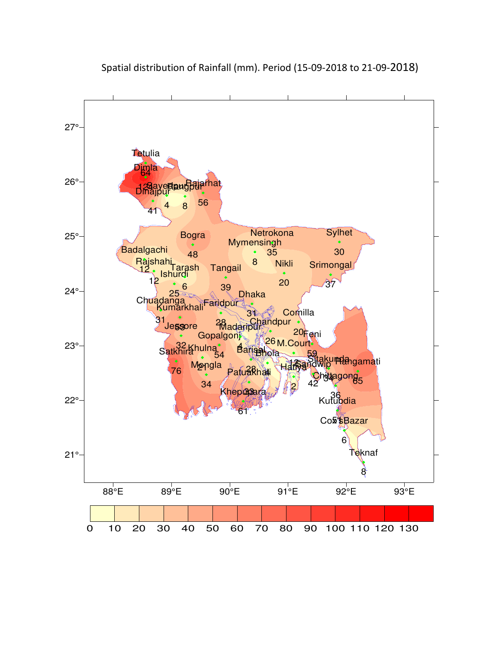

Spatial distribution of Rainfall (mm). Period (15-09-2018 to 21-09-2018)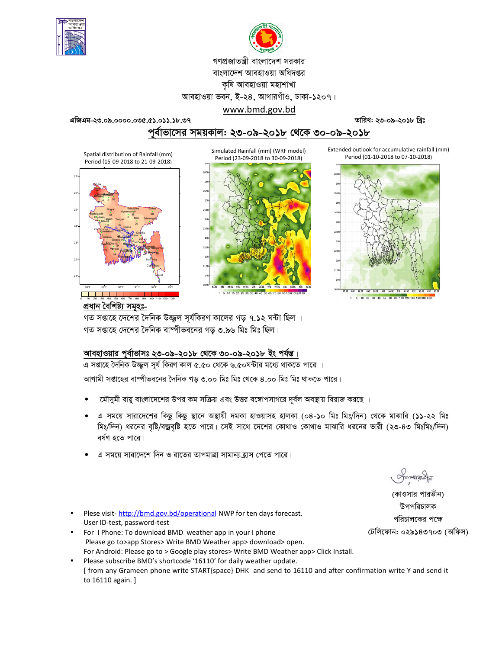



গণপ্রজাতন্ত্রী বাংলাদেশ সরকার

বাংলাদেশ আবহাওয়া অধিদপ্তর

কৃষি আবহাওয়া মহাশাখা

আবহাওয়া ভবন, ই-২৪, আগারগাঁও, ঢাকা-১২০৭।

Simulated Rainfall (mm) (WRF model)

www.bmd.gov.bd এজিএম-২৩.০৯.০০০০.০৩৫.৫১.০১১.১৮.৩৭

তারিখ: ২৩-০৯-২০১৮ খ্রিঃ

পর্বাভাসের সময়কাল: ২৩-০৯-২০১৮ থেকে ৩০-০৯-২০১৮

Spatial distribution of Rainfall (mm) Period (15-09-2018 to 21-09-2018)







Extended outlook for accumulative rainfall (mm) Period (01-10-2018 to 07-10-2018)



প্ৰধান বৈশিষ্ট্য সমূহঃ-

গত সপ্তাহে দেশের দৈনিক উজ্জল সূর্যকিরণ কালের গড় ৭.১২ ঘন্টা ছিল । গত সপ্তাহে দেশের দৈনিক বাষ্পীভবনের গড় ৩.৯৬ মিঃ মিঃ ছিল।

## আবহাওয়ার পূর্বাভাসঃ ২৩-০৯-২০১৮ থেকে ৩০-০৯-২০১৮ ইং পর্যন্ত।

এ সপ্তাহে দৈনিক উজ্জল সূর্য কিরণ কাল ৫.৫০ থেকে ৬.৫০ঘন্টার মধ্যে থাকতে পারে ।

আগামী সপ্তাহের বাঙ্গীভবনের দৈনিক গড় ৩.০০ মিঃ মিঃ থেকে ৪.০০ মিঃ মিঃ থাকতে পারে।

- মৌসুমী বায়ু বাংলাদেশের উপর কম সক্রিয় এবং উত্তর বঙ্গোপসাগরে দূর্বল অবস্থায় বিরাজ করছে ।
- এ সময়ে সারাদেশের কিছু কিছু স্থানে অস্থায়ী দমকা হাওয়াসহ হালকা (০৪-১০ মিঃ মিঃ/দিন) থেকে মাঝারি (১১-২২ মিঃ মিঃ/দিন) ধরনের বৃষ্টি/বজ্রবৃষ্টি হতে পারে। সেই সাথে দেশের কোথাও কোথাও মাঝারি ধরনের ভারী (২৩-৪৩ মিঃমিঃ/দিন) বৰ্ষণ হতে পাৱে।
- এ সময়ে সারাদেশে দিন ও রাতের তাপমাত্রা সামান্য হ্রাস পেতে পারে।

 $max_{\mathcal{A}}$ 

(কাওসার পারভীন) উপপরিচালক পরিচালকের পক্ষে টেলিফোন: ০২৯১৪৩৭০৩ (অফিস)

- Plese visit-http://bmd.gov.bd/operational NWP for ten days forecast. User ID-test, password-test
- For I Phone: To download BMD weather app in your I phone Please go to>app Stores> Write BMD Weather app> download> open. For Android: Please go to > Google play stores> Write BMD Weather app> Click Install.
- Please subscribe BMD's shortcode '16110' for daily weather update. [ from any Grameen phone write START{space} DHK and send to 16110 and after confirmation write Y and send it to 16110 again. ]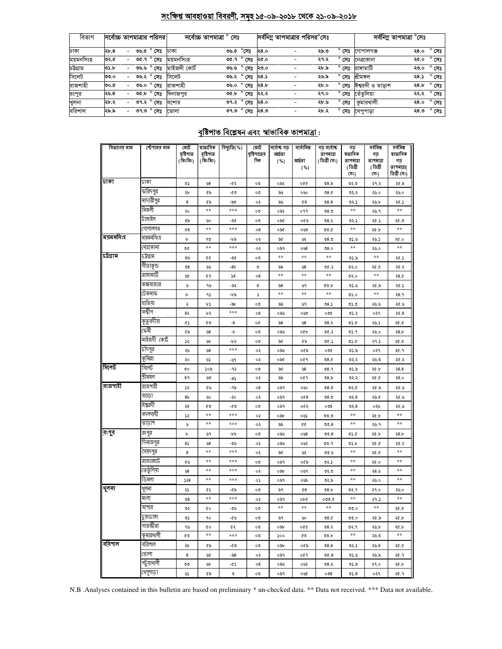## সংক্ষিপ্ত আবহাওয়া বিবরণী, সমূহ ১৫-০৯-২০১৮ থেকে ২১-০৯-২০১৮

| বিভাগ     | সর্বোচ্চ তাপমাত্রার পরিসর |                          |                    | সৰ্বোচ্চ তাপমাত্ৰা <sup>°</sup> | সেঃ                                       |      | সর্বনিম তাপমাত্রার পরিসর <sup>e</sup> সেঃ |                |                         | সর্বনিম্ন তাপমাত্রা °সেঃ |  |
|-----------|---------------------------|--------------------------|--------------------|---------------------------------|-------------------------------------------|------|-------------------------------------------|----------------|-------------------------|--------------------------|--|
| ঢাকা      | $\lambda b.8$             | $\sim$                   | ৩৬.৫ ° সেঃ         | ঢাকা                            | ৩৬.৫ °সেঃ                                 | ২৪.০ | ২৯.৩                                      |                | সেঃ গোপালগঞ্জ           | $^{\circ}$ সেঃ<br>২৪.০   |  |
| ময়মনসিংহ | ৩২.৫                      | $\sim$                   | ত $6.9^\circ$ সেঃ  | ময়মনসিংহ                       | ত $6.9^\circ$ সেঃ ২৫.০                    |      | ২৭.২                                      | সেঃ            | নেত্ৰকোনা               | $^{\circ}$ সেঃ<br>২৫.০   |  |
| চটগ্ৰাম   | ৩১.৮                      | $\overline{\phantom{0}}$ | ৩৬.৬ ° সেঃ         | মাইজদী কোৰ্ট                    | ৩৬.৬ $^{\circ}$ সেঃ ২৩.০                  |      | ২৮.৯                                      | $^{\circ}$ সেঃ | রাসামাটি                | $^{\circ}$ সেঃ<br>২৩.০   |  |
| সিলেট     | ৩৩.০                      | $\sim$                   | <i>৩</i> ৬.২ ° সেঃ | সিলেট                           | <u>তড.২<math>^{\circ}</math> সেঃ</u> ২৪.১ |      | ২৬.৯                                      | $^{\circ}$ সেঃ | শ্ৰীমঙ্গল               | ২৪.১ ° সেঃ               |  |
| রাজশাহী   | ৩০.৫                      | $\sim$                   |                    | ৩৬.০ ° সেঃ বাজশাহী              | ৩৬.০ ° সেঃ                                | ২৪.৮ | ২৮.০                                      | $^{\circ}$ সেঃ | ঈশ্বরদী ও তাডাশ         | ২৪.৮ ° সেঃ               |  |
| রংপুর     | ২৬.৪                      | $\overline{\phantom{0}}$ | ৩৫.৮ ° সেঃ         | দিনাজপুর                        | $00.5$ $^{\circ}$ সেঃ ২২.২                |      | ২৭.০                                      |                | <b>° সেঃ তেঁতুলিয়া</b> | ২২.২ ° সেঃ               |  |
| খুলনা     | ২৮.২                      | $\overline{\phantom{0}}$ | ৩৭.২ ° সেঃ         | যশোর                            | ৩৭.২ ° সেঃ                                | ২৪.০ | ২৮.৬                                      | $^{\circ}$ সেঃ | কুমারথালী               | ২৪.০ ° সেঃ               |  |
| বরিশাল    | ২৯.৯                      | $\sim$                   | ৩৭.৩ ° সেঃ  তোলা   |                                 | ত৭.৩ $^{\circ}$ সেঃ ২৪.৩                  |      | ২৮.২                                      |                | <b>° সেঃ খে</b> পুপাড়া | $^{\circ}$ সেঃ<br>২৪.৩   |  |

# <u> বৃষ্টিপাত বিশ্লেষন এবং স্বাভাবিক তাপমাত্ৰা :</u>

| বিভাগের নাম | স্টেশনের নাম | মোট<br>বৃষ্টিপাত<br>(মিঃমিঃ) | ষাভাবিক<br>বৃষ্টিপাত<br>(মিঃমিঃ) | বিছ্যুতি(%) | মোট<br>বৃষ্টিপাতের<br>দিন | সৰ্বোষ্ক গড<br>আৰ্দ্ৰতা<br>( %) | সৰ্বোনিম্ন<br>আৰ্দ্ৰতা<br>( %) | গড সৰ্বোষ্ক<br>তাপমাত্রা<br>(ডিগ্ৰী সেঃ) | গড<br>ষভাবিক<br>তাপমাত্রা<br>(ডিগ্ৰী<br>(সঃ) | সৰ্বনিম্ন<br>গড<br>তাপমাত্রা<br>(ডিগ্ৰী<br>(সঃ) | সৰ্বনিম্ন<br>ষাভাবিক<br>গড<br>তাপমাত্রা(<br>ডিগ্ৰী সেঃ) |
|-------------|--------------|------------------------------|----------------------------------|-------------|---------------------------|---------------------------------|--------------------------------|------------------------------------------|----------------------------------------------|-------------------------------------------------|---------------------------------------------------------|
| जका         | ঢাকা         | ৩১                           | ৬8                               | -65         | ೲ                         | ০৯২                             | oQQ                            | 08.5                                     | 0.50                                         | ২৭.২                                            | ২৫.৯                                                    |
|             | ফরিদপুর      | ২৮                           | ৫৯                               | -৫৩         | ೲ                         | ৯৬                              | ০৬০                            | 08.0                                     | ৩২.২                                         | ২৬.০                                            | ২৬.০                                                    |
|             | মাদারীপুর    | 8                            | ৫৯                               | -৯৩         | ০২                        | ৯৬                              | $Q$ 8                          | 08.8                                     | ৩২.১                                         | ২৬.৮                                            | ২৫.১                                                    |
|             | নিকলী        | ২০                           | **                               | ***         | ೲ                         | ০৯২                             | ०११                            | 08.0                                     | **                                           | ২৬.৭                                            | $**$                                                    |
|             | টাঙ্গাইল     | ৩৯                           | ৬০                               | -৩৫         | ೲ                         | ০৯৫                             | ০৫৬                            | 08.3                                     | ৩২.১                                         | ২৫.১                                            | ২৫.৩                                                    |
|             | গোপালগঞ্জ    | $Q$ 8                        | $**$                             | $***$       | 08                        | ০৯৫                             | 0.50                           | ৩৩.৫                                     | $**$                                         | ২৫.৮                                            | $**$                                                    |
| ময়মনসিংহ   | ময়মনসিংহ    | Ъ                            | ৭৩                               | -৮৯         | ০২                        | ৯৫                              | W                              | 08.0                                     | ৩১.৬                                         | ২৬.১                                            | ২৫.০                                                    |
|             | নেত্ৰকোনা    | ৩৫                           | $**$                             | ***         | ०२                        | ০৯৭                             | 048                            | 08.0                                     | $**$                                         | ২৬.০                                            | $\ast\ast$                                              |
| চট্টগ্ৰাম   | ঢট্টগ্ৰাম    | ৩৬                           | ¢¢                               | -06         | ೲ                         | **                              | $**$                           | $* *$                                    | ৩১.৯                                         | $**$                                            | ২৫.১                                                    |
|             | সীতাকুন্ড    | 98                           | لگانا                            | -8৮         | O                         | ৯৯                              | 98                             | ৩৫.২                                     | ৩২.০                                         | ১.৩۶                                            | ২৫.২                                                    |
|             | রাঙ্গামাটি   | W                            | 69                               | 58          | 08                        | **                              | $**$                           | $* *$                                    | ७२.०                                         | $**$                                            | 28.0                                                    |
|             | কক্সবাজার    | ৬                            | ৭৬                               | -৯২         | V                         | $\delta$ 8                      | ৬৭                             | ৩৩.৮                                     | 05.6                                         | ২৫.৯                                            | ২৫.১                                                    |
|             | টেকনাফ       | Ъ                            | ۹১                               | -৮৯         | ډ                         | $**$                            | **                             | **                                       | 0.20                                         | $**$                                            | २8.१                                                    |
|             | হাতিয়া      | ২                            | r)                               | -94         | ೲ                         | ৯৯                              | ৬৭                             | 08.5                                     | 0.00                                         | ২৬.৬                                            | ২৫.৬                                                    |
|             | সন্দ্বীপ     | 82                           | ৮২                               | $***$       | 08                        | ০৯৬                             | ০৬৩                            | ০৩৫                                      | ৩১.২                                         | ०२१                                             | 20.8                                                    |
|             | কুতুবদীয়া   | ¢۵                           | ৫৩                               | -8          | o¢                        | $\delta$ 8                      | 98                             | 08.5                                     | 0.6                                          | ২৬.১                                            | ১.৩۶                                                    |
|             | কেনী         | Q۵                           | ৬8                               | -b          | ೲ                         | ০৯৬                             | oQb                            | ৩৫.২                                     | ৩১.৭                                         | ২৬.০                                            | 28.5                                                    |
|             | মাইজদী কোট   | ډډ                           | yb                               | -৮২         | ೲ                         | ৯৫                              | ৫৯                             | 00.5                                     | 05.6                                         | 29.5                                            | ২৫.৫                                                    |
|             | চাঁদপুর      | ২৬                           | $\mathcal{B}^8$                  | ***         | ০২                        | ০৯৬                             | ০৫৯                            | ০৩৫                                      | ৩১.৯                                         | ०२१                                             | ২৫.৭                                                    |
|             | কুমিল্লা     | ২০                           | ৬১                               | -৬৭         | ০২                        | ০৯৫                             | ०৫१                            | 08.0                                     | ৩২.২                                         | ২৬.৩                                            | ২৫.২                                                    |
| সিলেট       | সিলেট        | ৩০                           | ১০৯                              | -92         | ೲ                         | ৯৫                              | 98                             | 08.9                                     | ৩১.৯                                         | ২৫.৮                                            | 28.8                                                    |
|             | শ্ৰীমঙ্গল    | ৩৭                           | ৬৩                               | -85         | ०२                        | ৯৯                              | ०৫१                            | 08.5                                     | ৩২.২                                         | ২৫.৫                                            | 28.0                                                    |
| রাজশাহী     | রাজশাহী      | ১২                           | ৫৬                               | -95         | 08                        | ০৯৭                             | ০৬০                            | 08.0                                     | ৩২.৫                                         | ২৫.৯                                            | ২৫.৬                                                    |
|             | বগুডা        | 8 <sub>b</sub>               | ৬০                               | -২০         | ০২                        | ০৯৭                             | 0@8                            | 08.0                                     | ৩২.8                                         | ২৬.৫                                            | ২৫.৬                                                    |
|             | ঈশ্বরদী      | ২৫                           | ৫৩                               | -৫৩         | ೲ                         | ০৯৭                             | ০৫২                            | 008                                      | ৩২.8                                         | ০২৬                                             | ২৫.৬                                                    |
|             | বদলগাঘী      | ډډ                           | **                               | $***$       | ०२                        | ০৯৮                             | ০৬১                            | 0.00                                     | $\ast\ast$                                   | ২৫.৮                                            | $\ast\ast$                                              |
|             | তাডাশ        | ৬                            | $\ast$ $\ast$                    | $***$       | ০২                        | ৯৯                              | QQ                             | 00.8                                     | $\ast\ast$                                   | ২৬.৭                                            | $\ast\ast$                                              |
| রংপুর       | রংপুর        | $\mathtt{b}$                 | ৬৭                               | -p.p.       | ೲ                         | ০৯৬                             | 058                            | 00.8                                     | 05.6                                         | ২৫.৮                                            | 28.5                                                    |
|             | দিনাজপুর     | 85                           | 98                               | -৩৬         | ০২                        | ০৯৬                             | ০৬২                            | 99.9                                     | 0.5                                          | ১.৩۶                                            | ২৫.২                                                    |
|             | সৈয়দপুর     | 8                            | **                               | ***         | ০২                        | ৯৫                              | ৬২                             | 00.6                                     | **                                           | ১.৩۶                                            | **                                                      |
|             | রাজারহাট     | ৫৬                           | **                               | ***         | ०७                        | ০৯৭                             | ০৫৯                            | ৩২.১                                     | **                                           | ২৫.০                                            | **                                                      |
|             | তেতুঁলিয়া   | 98                           | $**$                             | $***$       | ০২                        | ০৯৮                             | ০৬৭                            | ৩২৩                                      | $* *$                                        | ২8.৬                                            | **                                                      |
|             | ডিমলা        | ১২৪                          | **                               | $***$       | ο১                        | ০৯৭                             | ০৬৯                            | ৩২.৯                                     | **                                           | ২৬.০                                            | **                                                      |
| থুলনা       | থুলনা        | ২১                           | ¢۵                               | -৫৯         | ೲ                         | ৯৭                              | 68                             | 08.5                                     | ৩২.৭                                         | ২৭.০                                            | ২৬.০                                                    |
|             | মংলা         | 08                           | $**$                             | $***$       | ०२                        | ০৯৭                             | obe                            | 0.000                                    | $\ast\ast$                                   | ২৭.১                                            | $**$                                                    |
|             | যশোর         | ৩২                           | 0Ò                               | -৩৬         | ೦೮                        | **                              | $\ast\ast$                     | $\pm\pm$                                 | 0.00                                         | $\ast\ast$                                      | ২৫.৫                                                    |
|             | চুয়াডাঙ্গা  | ৩১                           | 90                               | -05         | ೲ                         | ৯৭                              | ৬০                             | 08.0                                     | 0.00                                         | ২৫.৯                                            | ২৫.৮                                                    |
|             | সাতক্ষীরা    | ৭৬                           | ¢о                               | 4ź          | ೲ                         | ০৯৮                             | 990                            | 08.5                                     | ৩২.৭                                         | ২৬.৮                                            | ২৫.৮                                                    |
|             | কুমারখালী    | ৫৩                           | $\ast\ast$                       | $***$       | ೲ                         | 500                             | ৫৩                             | ৩৩.৮                                     | $***$                                        | ২৬.৩                                            | $\ast\ast$                                              |
| ববিশাল      | বরিশাল       | ২৮                           | ৫৯                               | -৫৩         | ೲ                         | ০৯৮                             | ০৫৯                            | 08.8                                     | ৩২.১                                         | 20.8                                            | ২৫.৫                                                    |
|             | ভোলা         | 8                            | ৬৫                               | -৯৪         | ০২                        | ০৯৭                             | ०৫१                            | 00.8                                     | ৩১.৬                                         | ২৬.৯                                            | ২৫.৭                                                    |
|             | পটুয়াথালী   | ಀಀ                           | yb                               | -65         | 08                        | ০৯৬                             | ০৬২                            | 08.6                                     | ৩১.৯                                         | ২৭.০                                            | ২৫.৮                                                    |
|             | খেপুপাড়া    | دی                           | ৫৯                               | ৩           | ০৩                        | ০৯৭                             | ০৬৫                            | 008                                      | 0.8                                          | ०२१                                             | ২৫.৭                                                    |

N.B .Analyses contained in this bulletin are based on preliminary \* un-checked data. \*\* Data not received. \*\*\* Data not available.